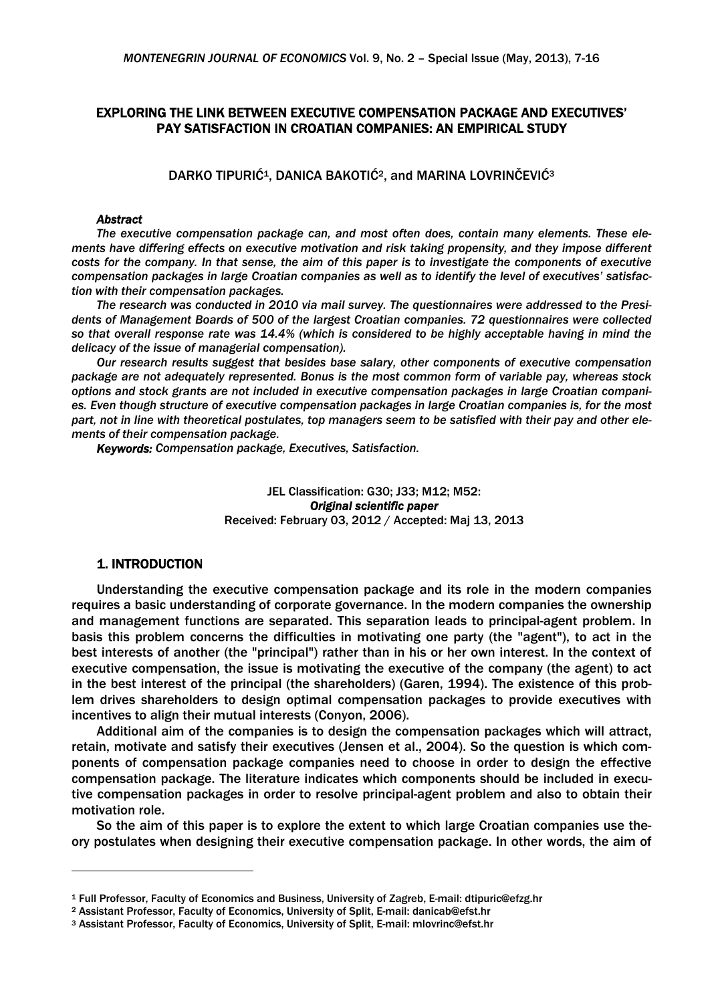# EXPLORING THE LINK BETWEEN EXECUTIVE COMPENSATION PACKAGE AND EXECUTIVES' PAY SATISFACTION IN CROATIAN COMPANIES: AN EMPIRICAL STUDY

DARKO TIPURIĆ<sup>1</sup>, DANICA BAKOTIĆ<sup>2</sup>, and MARINA LOVRINČEVIĆ<sup>3</sup>

### *Abstract*

*The executive compensation package can, and most often does, contain many elements. These elements have differing effects on executive motivation and risk taking propensity, and they impose different costs for the company. In that sense, the aim of this paper is to investigate the components of executive compensation packages in large Croatian companies as well as to identify the level of executives' satisfaction with their compensation packages.* 

*The research was conducted in 2010 via mail survey. The questionnaires were addressed to the Presidents of Management Boards of 500 of the largest Croatian companies. 72 questionnaires were collected so that overall response rate was 14.4% (which is considered to be highly acceptable having in mind the delicacy of the issue of managerial compensation).* 

*Our research results suggest that besides base salary, other components of executive compensation package are not adequately represented. Bonus is the most common form of variable pay, whereas stock options and stock grants are not included in executive compensation packages in large Croatian companies. Even though structure of executive compensation packages in large Croatian companies is, for the most part, not in line with theoretical postulates, top managers seem to be satisfied with their pay and other elements of their compensation package.* 

*Keywords: Compensation package, Executives, Satisfaction.* 

### JEL Classification: G30; J33; M12; M52: *Original scientific paper* Received: February 03, 2012 / Accepted: Maj 13, 2013

# 1. INTRODUCTION

Understanding the executive compensation package and its role in the modern companies requires a basic understanding of corporate governance. In the modern companies the ownership and management functions are separated. This separation leads to principal-agent problem. In basis this problem concerns the difficulties in motivating one party (the "agent"), to act in the best interests of another (the "principal") rather than in his or her own interest. In the context of executive compensation, the issue is motivating the executive of the company (the agent) to act in the best interest of the principal (the shareholders) (Garen, 1994). The existence of this problem drives shareholders to design optimal compensation packages to provide executives with incentives to align their mutual interests (Conyon, 2006).

Additional aim of the companies is to design the compensation packages which will attract, retain, motivate and satisfy their executives (Jensen et al., 2004). So the question is which components of compensation package companies need to choose in order to design the effective compensation package. The literature indicates which components should be included in executive compensation packages in order to resolve principal-agent problem and also to obtain their motivation role.

So the aim of this paper is to explore the extent to which large Croatian companies use theory postulates when designing their executive compensation package. In other words, the aim of

<sup>&</sup>lt;sup>1</sup> Full Professor, Faculty of Economics and Business, University of Zagreb, E-mail: dtipuric@efzg.hr<br><sup>2</sup> Assistant Professor, Faculty of Economics, University of Split, E-mail: danicab@efst.hr<br><sup>3</sup> Assistant Professor, Fac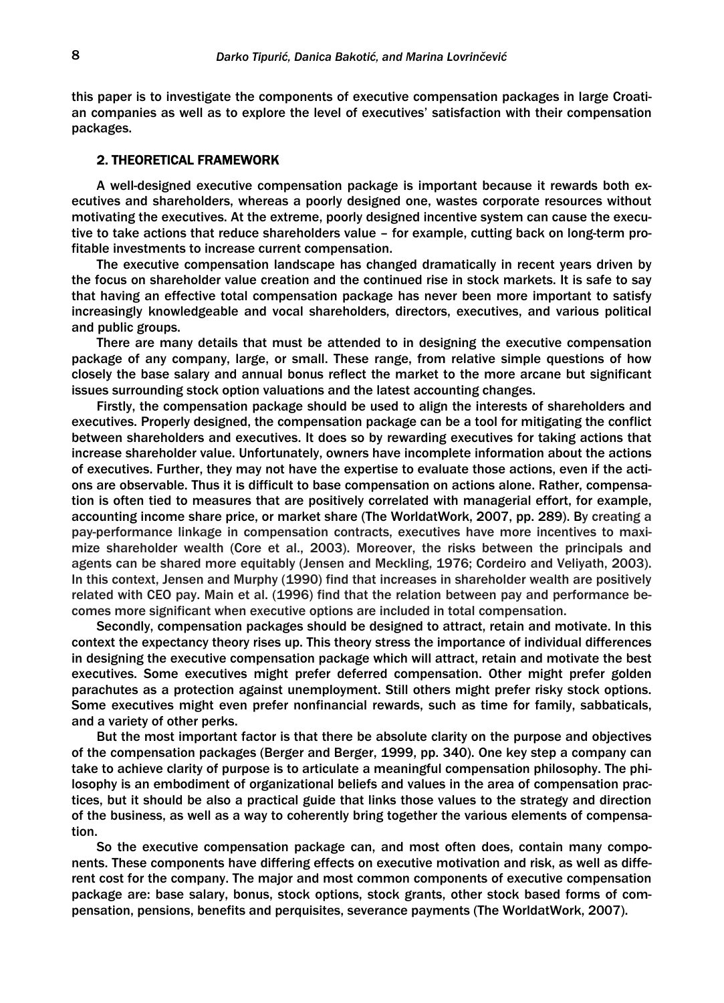this paper is to investigate the components of executive compensation packages in large Croatian companies as well as to explore the level of executives' satisfaction with their compensation packages.

## 2. THEORETICAL FRAMEWORK

A well-designed executive compensation package is important because it rewards both executives and shareholders, whereas a poorly designed one, wastes corporate resources without motivating the executives. At the extreme, poorly designed incentive system can cause the executive to take actions that reduce shareholders value – for example, cutting back on long-term profitable investments to increase current compensation.

The executive compensation landscape has changed dramatically in recent years driven by the focus on shareholder value creation and the continued rise in stock markets. It is safe to say that having an effective total compensation package has never been more important to satisfy increasingly knowledgeable and vocal shareholders, directors, executives, and various political and public groups.

There are many details that must be attended to in designing the executive compensation package of any company, large, or small. These range, from relative simple questions of how closely the base salary and annual bonus reflect the market to the more arcane but significant issues surrounding stock option valuations and the latest accounting changes.

Firstly, the compensation package should be used to align the interests of shareholders and executives. Properly designed, the compensation package can be a tool for mitigating the conflict between shareholders and executives. It does so by rewarding executives for taking actions that increase shareholder value. Unfortunately, owners have incomplete information about the actions of executives. Further, they may not have the expertise to evaluate those actions, even if the actions are observable. Thus it is difficult to base compensation on actions alone. Rather, compensation is often tied to measures that are positively correlated with managerial effort, for example, accounting income share price, or market share (The WorldatWork, 2007, pp. 289). By creating a pay-performance linkage in compensation contracts, executives have more incentives to maximize shareholder wealth (Core et al., 2003). Moreover, the risks between the principals and agents can be shared more equitably (Jensen and Meckling, 1976; Cordeiro and Veliyath, 2003). In this context, Jensen and Murphy (1990) find that increases in shareholder wealth are positively related with CEO pay. Main et al. (1996) find that the relation between pay and performance becomes more significant when executive options are included in total compensation.

Secondly, compensation packages should be designed to attract, retain and motivate. In this context the expectancy theory rises up. This theory stress the importance of individual differences in designing the executive compensation package which will attract, retain and motivate the best executives. Some executives might prefer deferred compensation. Other might prefer golden parachutes as a protection against unemployment. Still others might prefer risky stock options. Some executives might even prefer nonfinancial rewards, such as time for family, sabbaticals, and a variety of other perks.

But the most important factor is that there be absolute clarity on the purpose and objectives of the compensation packages (Berger and Berger, 1999, pp. 340). One key step a company can take to achieve clarity of purpose is to articulate a meaningful compensation philosophy. The philosophy is an embodiment of organizational beliefs and values in the area of compensation practices, but it should be also a practical guide that links those values to the strategy and direction of the business, as well as a way to coherently bring together the various elements of compensation.

So the executive compensation package can, and most often does, contain many components. These components have differing effects on executive motivation and risk, as well as different cost for the company. The major and most common components of executive compensation package are: base salary, bonus, stock options, stock grants, other stock based forms of compensation, pensions, benefits and perquisites, severance payments (The WorldatWork, 2007).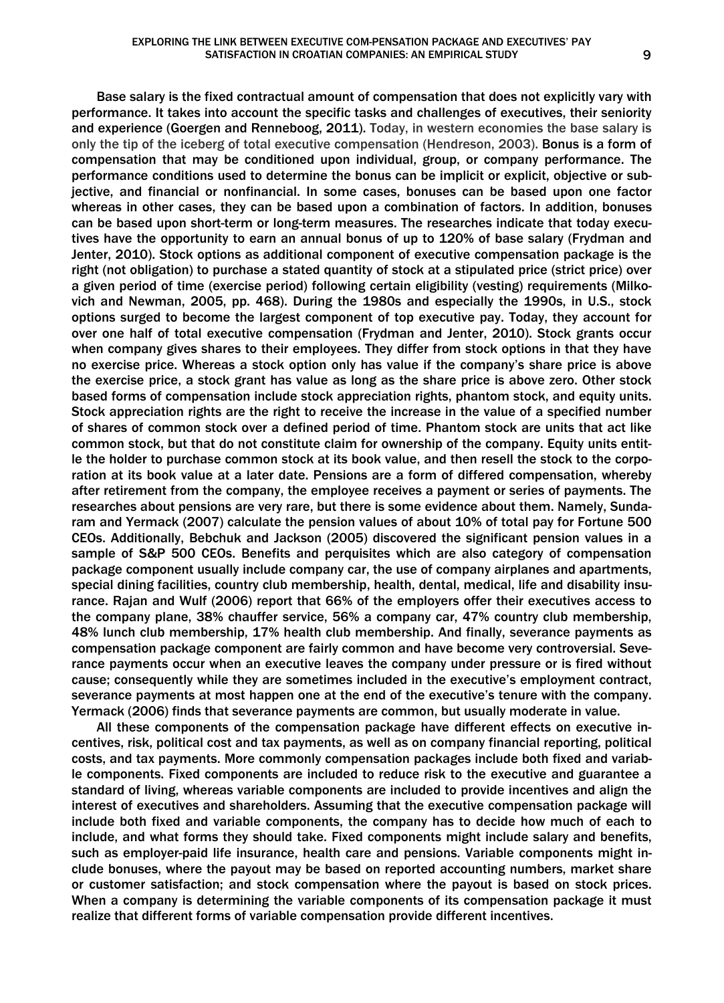Base salary is the fixed contractual amount of compensation that does not explicitly vary with performance. It takes into account the specific tasks and challenges of executives, their seniority and experience (Goergen and Renneboog, 2011). Today, in western economies the base salary is only the tip of the iceberg of total executive compensation (Hendreson, 2003). Bonus is a form of compensation that may be conditioned upon individual, group, or company performance. The performance conditions used to determine the bonus can be implicit or explicit, objective or subjective, and financial or nonfinancial. In some cases, bonuses can be based upon one factor whereas in other cases, they can be based upon a combination of factors. In addition, bonuses can be based upon short-term or long-term measures. The researches indicate that today executives have the opportunity to earn an annual bonus of up to 120% of base salary (Frydman and Jenter, 2010). Stock options as additional component of executive compensation package is the right (not obligation) to purchase a stated quantity of stock at a stipulated price (strict price) over a given period of time (exercise period) following certain eligibility (vesting) requirements (Milkovich and Newman, 2005, pp. 468). During the 1980s and especially the 1990s, in U.S., stock options surged to become the largest component of top executive pay. Today, they account for over one half of total executive compensation (Frydman and Jenter, 2010). Stock grants occur when company gives shares to their employees. They differ from stock options in that they have

no exercise price. Whereas a stock option only has value if the company's share price is above the exercise price, a stock grant has value as long as the share price is above zero. Other stock based forms of compensation include stock appreciation rights, phantom stock, and equity units. Stock appreciation rights are the right to receive the increase in the value of a specified number of shares of common stock over a defined period of time. Phantom stock are units that act like common stock, but that do not constitute claim for ownership of the company. Equity units entitle the holder to purchase common stock at its book value, and then resell the stock to the corporation at its book value at a later date. Pensions are a form of differed compensation, whereby after retirement from the company, the employee receives a payment or series of payments. The researches about pensions are very rare, but there is some evidence about them. Namely, Sundaram and Yermack (2007) calculate the pension values of about 10% of total pay for Fortune 500 CEOs. Additionally, Bebchuk and Jackson (2005) discovered the significant pension values in a sample of S&P 500 CEOs. Benefits and perquisites which are also category of compensation package component usually include company car, the use of company airplanes and apartments, special dining facilities, country club membership, health, dental, medical, life and disability insurance. Rajan and Wulf (2006) report that 66% of the employers offer their executives access to the company plane, 38% chauffer service, 56% a company car, 47% country club membership, 48% lunch club membership, 17% health club membership. And finally, severance payments as compensation package component are fairly common and have become very controversial. Severance payments occur when an executive leaves the company under pressure or is fired without cause; consequently while they are sometimes included in the executive's employment contract, severance payments at most happen one at the end of the executive's tenure with the company. Yermack (2006) finds that severance payments are common, but usually moderate in value.

All these components of the compensation package have different effects on executive incentives, risk, political cost and tax payments, as well as on company financial reporting, political costs, and tax payments. More commonly compensation packages include both fixed and variable components. Fixed components are included to reduce risk to the executive and guarantee a standard of living, whereas variable components are included to provide incentives and align the interest of executives and shareholders. Assuming that the executive compensation package will include both fixed and variable components, the company has to decide how much of each to include, and what forms they should take. Fixed components might include salary and benefits, such as employer-paid life insurance, health care and pensions. Variable components might include bonuses, where the payout may be based on reported accounting numbers, market share or customer satisfaction; and stock compensation where the payout is based on stock prices. When a company is determining the variable components of its compensation package it must realize that different forms of variable compensation provide different incentives.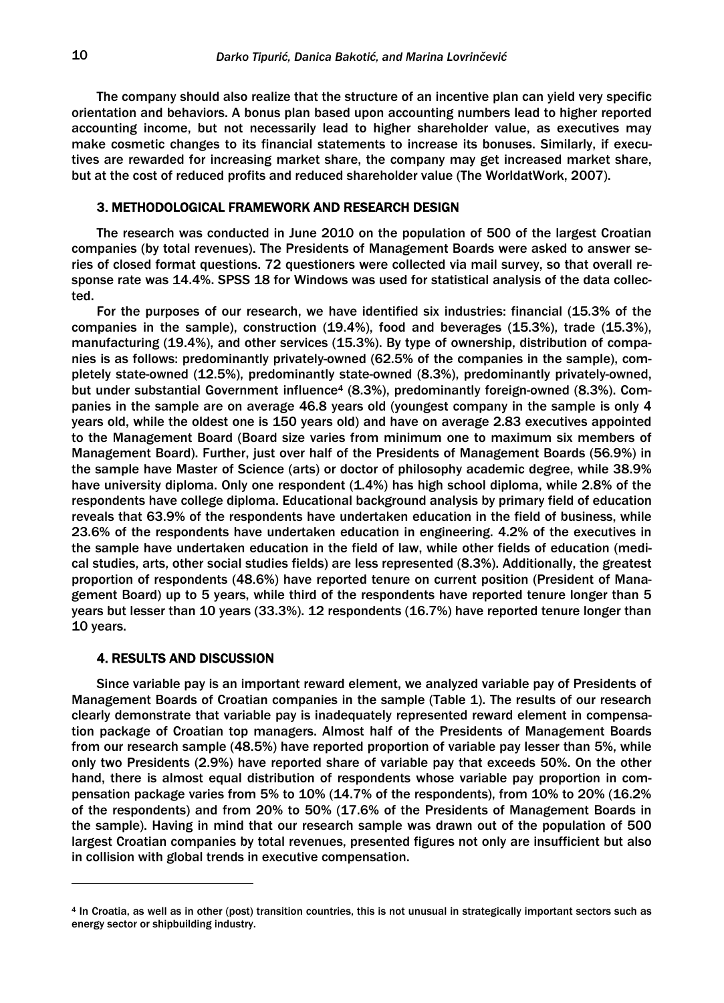The company should also realize that the structure of an incentive plan can yield very specific orientation and behaviors. A bonus plan based upon accounting numbers lead to higher reported accounting income, but not necessarily lead to higher shareholder value, as executives may make cosmetic changes to its financial statements to increase its bonuses. Similarly, if executives are rewarded for increasing market share, the company may get increased market share, but at the cost of reduced profits and reduced shareholder value (The WorldatWork, 2007).

## 3. METHODOLOGICAL FRAMEWORK AND RESEARCH DESIGN

The research was conducted in June 2010 on the population of 500 of the largest Croatian companies (by total revenues). The Presidents of Management Boards were asked to answer series of closed format questions. 72 questioners were collected via mail survey, so that overall response rate was 14.4%. SPSS 18 for Windows was used for statistical analysis of the data collected.

For the purposes of our research, we have identified six industries: financial (15.3% of the companies in the sample), construction (19.4%), food and beverages (15.3%), trade (15.3%), manufacturing (19.4%), and other services (15.3%). By type of ownership, distribution of companies is as follows: predominantly privately-owned (62.5% of the companies in the sample), completely state-owned (12.5%), predominantly state-owned (8.3%), predominantly privately-owned, but under substantial Government influence<sup>4</sup> (8.3%), predominantly foreign-owned (8.3%). Companies in the sample are on average 46.8 years old (youngest company in the sample is only 4 years old, while the oldest one is 150 years old) and have on average 2.83 executives appointed to the Management Board (Board size varies from minimum one to maximum six members of Management Board). Further, just over half of the Presidents of Management Boards (56.9%) in the sample have Master of Science (arts) or doctor of philosophy academic degree, while 38.9% have university diploma. Only one respondent (1.4%) has high school diploma, while 2.8% of the respondents have college diploma. Educational background analysis by primary field of education reveals that 63.9% of the respondents have undertaken education in the field of business, while 23.6% of the respondents have undertaken education in engineering. 4.2% of the executives in the sample have undertaken education in the field of law, while other fields of education (medical studies, arts, other social studies fields) are less represented (8.3%). Additionally, the greatest proportion of respondents (48.6%) have reported tenure on current position (President of Management Board) up to 5 years, while third of the respondents have reported tenure longer than 5 years but lesser than 10 years (33.3%). 12 respondents (16.7%) have reported tenure longer than 10 years.

### 4. RESULTS AND DISCUSSION

1

Since variable pay is an important reward element, we analyzed variable pay of Presidents of Management Boards of Croatian companies in the sample (Table 1). The results of our research clearly demonstrate that variable pay is inadequately represented reward element in compensation package of Croatian top managers. Almost half of the Presidents of Management Boards from our research sample (48.5%) have reported proportion of variable pay lesser than 5%, while only two Presidents (2.9%) have reported share of variable pay that exceeds 50%. On the other hand, there is almost equal distribution of respondents whose variable pay proportion in compensation package varies from 5% to 10% (14.7% of the respondents), from 10% to 20% (16.2% of the respondents) and from 20% to 50% (17.6% of the Presidents of Management Boards in the sample). Having in mind that our research sample was drawn out of the population of 500 largest Croatian companies by total revenues, presented figures not only are insufficient but also in collision with global trends in executive compensation.

<sup>4</sup> In Croatia, as well as in other (post) transition countries, this is not unusual in strategically important sectors such as energy sector or shipbuilding industry.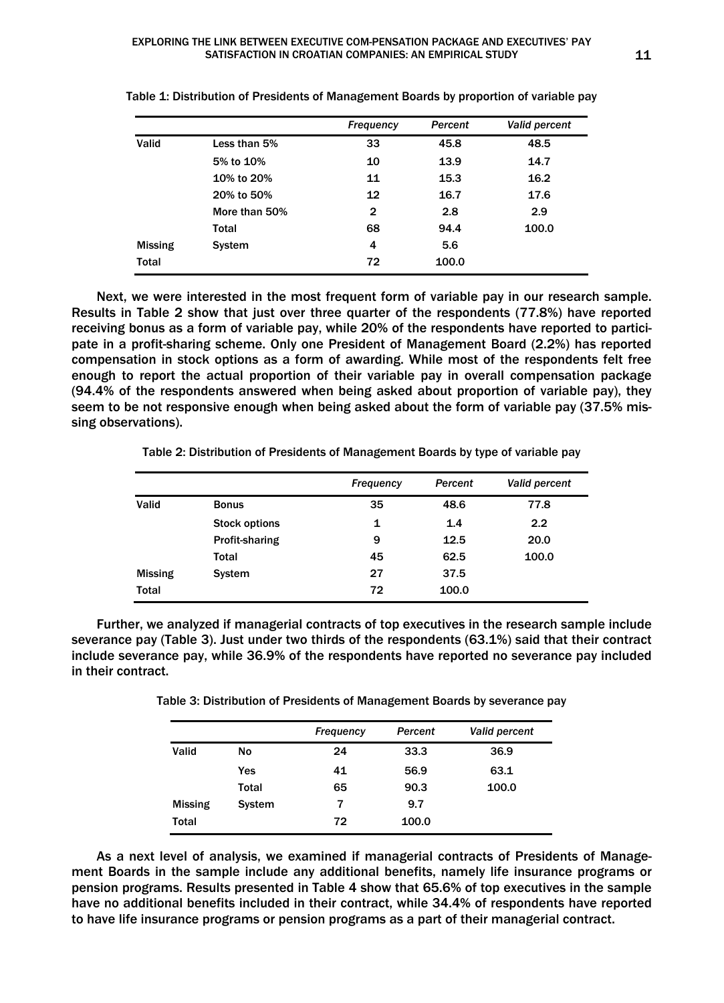|                |               | <b>Frequency</b> | Percent | <b>Valid percent</b> |
|----------------|---------------|------------------|---------|----------------------|
| Valid          | Less than 5%  | 33               | 45.8    | 48.5                 |
|                | 5% to 10%     | 10               | 13.9    | 14.7                 |
|                | 10% to 20%    | 11               | 15.3    | 16.2                 |
|                | 20% to 50%    | 12               | 16.7    | 17.6                 |
|                | More than 50% | $\mathbf{2}$     | 2.8     | 2.9                  |
|                | Total         | 68               | 94.4    | 100.0                |
| <b>Missing</b> | System        | 4                | 5.6     |                      |
| <b>Total</b>   |               | 72               | 100.0   |                      |

Table 1: Distribution of Presidents of Management Boards by proportion of variable pay

Next, we were interested in the most frequent form of variable pay in our research sample. Results in Table 2 show that just over three quarter of the respondents (77.8%) have reported receiving bonus as a form of variable pay, while 20% of the respondents have reported to participate in a profit-sharing scheme. Only one President of Management Board (2.2%) has reported compensation in stock options as a form of awarding. While most of the respondents felt free enough to report the actual proportion of their variable pay in overall compensation package (94.4% of the respondents answered when being asked about proportion of variable pay), they seem to be not responsive enough when being asked about the form of variable pay (37.5% missing observations).

Table 2: Distribution of Presidents of Management Boards by type of variable pay

|                |                       | Frequency | Percent | <b>Valid percent</b> |
|----------------|-----------------------|-----------|---------|----------------------|
| Valid          | <b>Bonus</b>          | 35        | 48.6    | 77.8                 |
|                | <b>Stock options</b>  | 1         | 1.4     | 2.2                  |
|                | <b>Profit-sharing</b> | 9         | 12.5    | 20.0                 |
|                | <b>Total</b>          | 45        | 62.5    | 100.0                |
| <b>Missing</b> | System                | 27        | 37.5    |                      |
| <b>Total</b>   |                       | 72        | 100.0   |                      |

Further, we analyzed if managerial contracts of top executives in the research sample include severance pay (Table 3). Just under two thirds of the respondents (63.1%) said that their contract include severance pay, while 36.9% of the respondents have reported no severance pay included in their contract.

Table 3: Distribution of Presidents of Management Boards by severance pay

|                |               | <b>Frequency</b> | Percent | <b>Valid percent</b> |
|----------------|---------------|------------------|---------|----------------------|
| Valid          | <b>No</b>     | 24               | 33.3    | 36.9                 |
|                | Yes           | 41               | 56.9    | 63.1                 |
|                | Total         | 65               | 90.3    | 100.0                |
| <b>Missing</b> | <b>System</b> | 7                | 9.7     |                      |
| Total          |               | 72               | 100.0   |                      |

As a next level of analysis, we examined if managerial contracts of Presidents of Management Boards in the sample include any additional benefits, namely life insurance programs or pension programs. Results presented in Table 4 show that 65.6% of top executives in the sample have no additional benefits included in their contract, while 34.4% of respondents have reported to have life insurance programs or pension programs as a part of their managerial contract.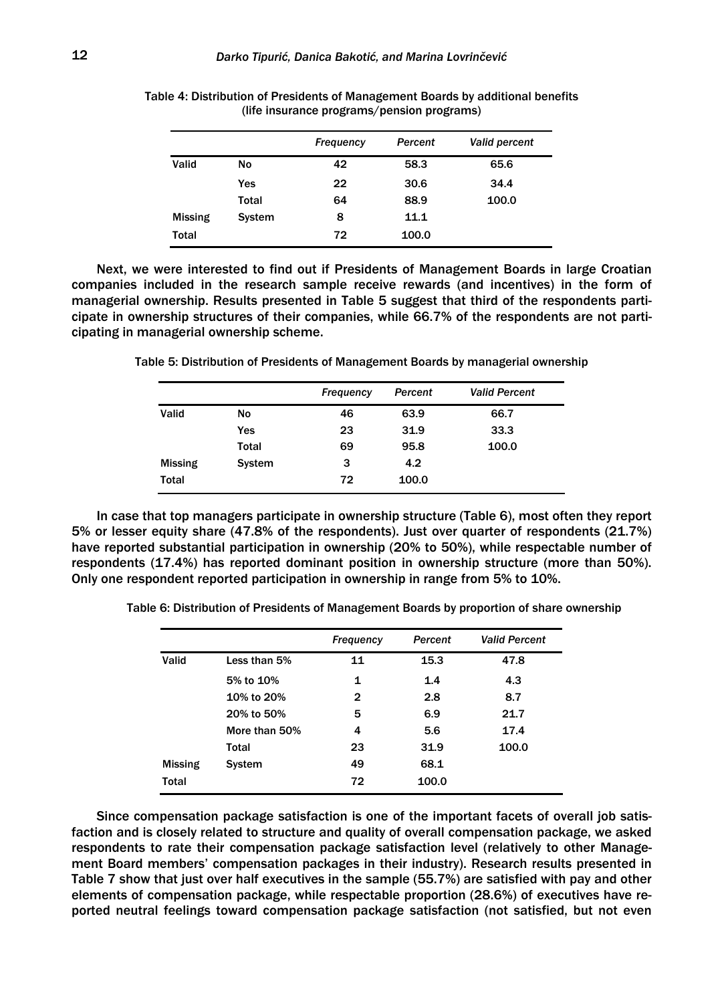|                |               | <b>Frequency</b> | Percent | <b>Valid percent</b> |
|----------------|---------------|------------------|---------|----------------------|
| Valid          | <b>No</b>     | 42               | 58.3    | 65.6                 |
|                | Yes           | 22               | 30.6    | 34.4                 |
|                | Total         | 64               | 88.9    | 100.0                |
| <b>Missing</b> | <b>System</b> | 8                | 11.1    |                      |
| Total          |               | 72               | 100.0   |                      |

Table 4: Distribution of Presidents of Management Boards by additional benefits (life insurance programs/pension programs)

Next, we were interested to find out if Presidents of Management Boards in large Croatian companies included in the research sample receive rewards (and incentives) in the form of managerial ownership. Results presented in Table 5 suggest that third of the respondents participate in ownership structures of their companies, while 66.7% of the respondents are not participating in managerial ownership scheme.

Table 5: Distribution of Presidents of Management Boards by managerial ownership

|                |              | <b>Frequency</b> | Percent | <b>Valid Percent</b> |
|----------------|--------------|------------------|---------|----------------------|
| Valid          | No           | 46               | 63.9    | 66.7                 |
|                | Yes          | 23               | 31.9    | 33.3                 |
|                | <b>Total</b> | 69               | 95.8    | 100.0                |
| <b>Missing</b> | System       | з                | 4.2     |                      |
| <b>Total</b>   |              | 72               | 100.0   |                      |

In case that top managers participate in ownership structure (Table 6), most often they report 5% or lesser equity share (47.8% of the respondents). Just over quarter of respondents (21.7%) have reported substantial participation in ownership (20% to 50%), while respectable number of respondents (17.4%) has reported dominant position in ownership structure (more than 50%). Only one respondent reported participation in ownership in range from 5% to 10%.

Table 6: Distribution of Presidents of Management Boards by proportion of share ownership

|                |               | <b>Frequency</b> | Percent | <b>Valid Percent</b> |
|----------------|---------------|------------------|---------|----------------------|
| Valid          | Less than 5%  | 11               | 15.3    | 47.8                 |
|                | 5% to 10%     | 1                | 1.4     | 4.3                  |
|                | 10% to 20%    | 2                | 2.8     | 8.7                  |
|                | 20% to 50%    | 5                | 6.9     | 21.7                 |
|                | More than 50% | 4                | 5.6     | 17.4                 |
|                | Total         | 23               | 31.9    | 100.0                |
| <b>Missing</b> | System        | 49               | 68.1    |                      |
| <b>Total</b>   |               | 72               | 100.0   |                      |

Since compensation package satisfaction is one of the important facets of overall job satisfaction and is closely related to structure and quality of overall compensation package, we asked respondents to rate their compensation package satisfaction level (relatively to other Management Board members' compensation packages in their industry). Research results presented in Table 7 show that just over half executives in the sample (55.7%) are satisfied with pay and other elements of compensation package, while respectable proportion (28.6%) of executives have reported neutral feelings toward compensation package satisfaction (not satisfied, but not even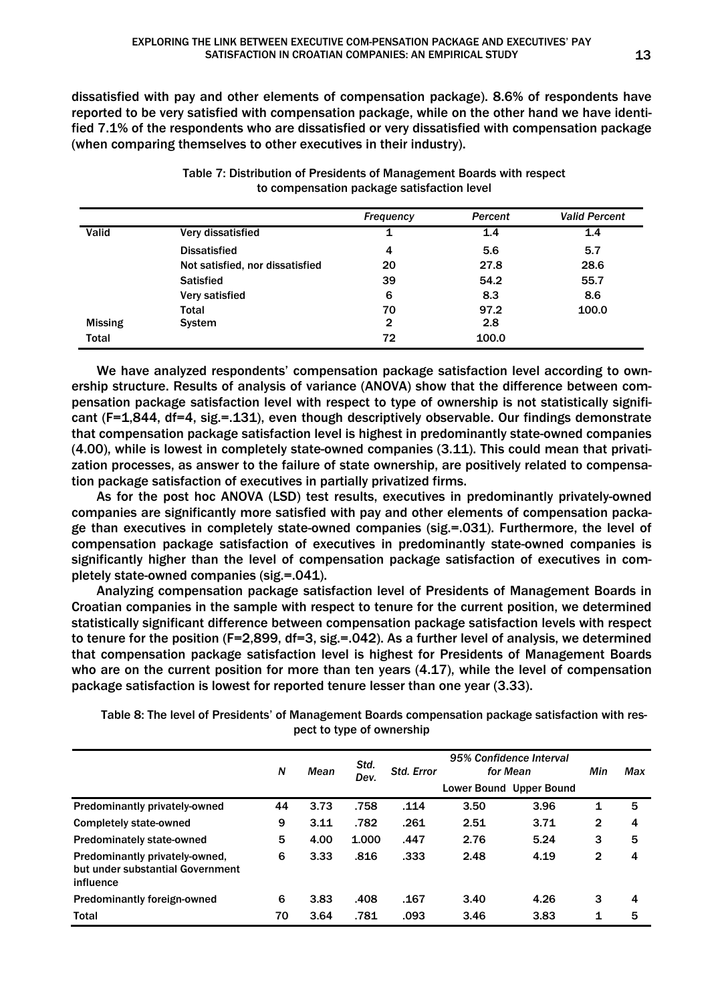dissatisfied with pay and other elements of compensation package). 8.6% of respondents have reported to be very satisfied with compensation package, while on the other hand we have identified 7.1% of the respondents who are dissatisfied or very dissatisfied with compensation package (when comparing themselves to other executives in their industry).

|                |                                 | Frequency | Percent | <b>Valid Percent</b> |
|----------------|---------------------------------|-----------|---------|----------------------|
| Valid          | Very dissatisfied               | 1         | 1.4     | 1.4                  |
|                | <b>Dissatisfied</b>             | 4         | 5.6     | 5.7                  |
|                | Not satisfied, nor dissatisfied | 20        | 27.8    | 28.6                 |
|                | <b>Satisfied</b>                | 39        | 54.2    | 55.7                 |
|                | Very satisfied                  | 6         | 8.3     | 8.6                  |
|                | Total                           | 70        | 97.2    | 100.0                |
| <b>Missing</b> | System                          | 2         | 2.8     |                      |
| Total          |                                 | 72        | 100.0   |                      |

Table 7: Distribution of Presidents of Management Boards with respect to compensation package satisfaction level

We have analyzed respondents' compensation package satisfaction level according to ownership structure. Results of analysis of variance (ANOVA) show that the difference between compensation package satisfaction level with respect to type of ownership is not statistically significant (F=1,844, df=4, sig.=.131), even though descriptively observable. Our findings demonstrate that compensation package satisfaction level is highest in predominantly state-owned companies (4.00), while is lowest in completely state-owned companies (3.11). This could mean that privatization processes, as answer to the failure of state ownership, are positively related to compensation package satisfaction of executives in partially privatized firms.

As for the post hoc ANOVA (LSD) test results, executives in predominantly privately-owned companies are significantly more satisfied with pay and other elements of compensation package than executives in completely state-owned companies (sig.=.031). Furthermore, the level of compensation package satisfaction of executives in predominantly state-owned companies is significantly higher than the level of compensation package satisfaction of executives in completely state-owned companies (sig.=.041).

Analyzing compensation package satisfaction level of Presidents of Management Boards in Croatian companies in the sample with respect to tenure for the current position, we determined statistically significant difference between compensation package satisfaction levels with respect to tenure for the position (F=2,899, df=3, sig.=.042). As a further level of analysis, we determined that compensation package satisfaction level is highest for Presidents of Management Boards who are on the current position for more than ten years (4.17), while the level of compensation package satisfaction is lowest for reported tenure lesser than one year (3.33).

Table 8: The level of Presidents' of Management Boards compensation package satisfaction with respect to type of ownership

|                                                                                 | N  | Mean | Std.<br>Dev. | <b>Std. Error</b> |      | 95% Confidence Interval<br>for Mean<br>Lower Bound Upper Bound | Min          | Max |
|---------------------------------------------------------------------------------|----|------|--------------|-------------------|------|----------------------------------------------------------------|--------------|-----|
| Predominantly privately-owned                                                   | 44 | 3.73 | .758         | .114              | 3.50 | 3.96                                                           | 1            | 5   |
| <b>Completely state-owned</b>                                                   | 9  | 3.11 | .782         | .261              | 2.51 | 3.71                                                           | $\mathbf{2}$ | 4   |
| <b>Predominately state-owned</b>                                                | 5  | 4.00 | 1.000        | .447              | 2.76 | 5.24                                                           | 3            | 5   |
| Predominantly privately-owned,<br>but under substantial Government<br>influence | 6  | 3.33 | .816         | .333              | 2.48 | 4.19                                                           | $\mathbf{2}$ | 4   |
| Predominantly foreign-owned                                                     | 6  | 3.83 | .408         | .167              | 3.40 | 4.26                                                           | 3            | 4   |
| <b>Total</b>                                                                    | 70 | 3.64 | .781         | .093              | 3.46 | 3.83                                                           | 1            | 5   |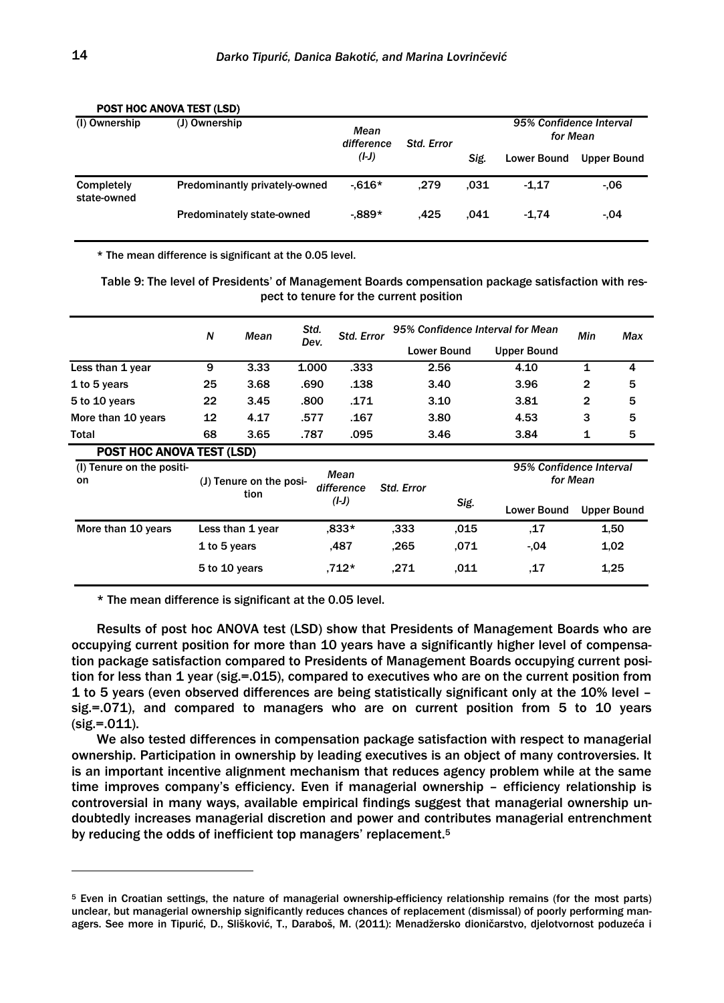| (I) Ownership                    | (J) Ownership                    | Mean<br>difference | <b>Std. Error</b> |                    |                    | 95% Confidence Interval<br>for Mean |  |  |
|----------------------------------|----------------------------------|--------------------|-------------------|--------------------|--------------------|-------------------------------------|--|--|
|                                  | $(I-J)$                          |                    | Sig.              | <b>Lower Bound</b> | <b>Upper Bound</b> |                                     |  |  |
| <b>Completely</b><br>state-owned | Predominantly privately-owned    | $-616*$            | .279              | .031               | $-1.17$            | $-06$                               |  |  |
|                                  | <b>Predominately state-owned</b> | $-889*$            | .425              | .041               | $-1.74$            | $-0.04$                             |  |  |

### POST HOC ANOVA TEST (LSD)

\* The mean difference is significant at the 0.05 level.

Table 9: The level of Presidents' of Management Boards compensation package satisfaction with respect to tenure for the current position

|                                        | N            | Mean                            | Std.  | Std. Error         |                   |                    | 95% Confidence Interval for Mean | Min      | Max                |
|----------------------------------------|--------------|---------------------------------|-------|--------------------|-------------------|--------------------|----------------------------------|----------|--------------------|
|                                        |              |                                 | Dev.  |                    |                   | <b>Lower Bound</b> | <b>Upper Bound</b>               |          |                    |
| Less than 1 year                       | 9            | 3.33                            | 1.000 | .333               |                   | 2.56               | 4.10                             | 1        | 4                  |
| 1 to 5 years                           | 25           | 3.68                            | .690  | .138               |                   | 3.40               | 3.96                             | 2        | 5                  |
| 5 to 10 years                          | 22           | 3.45                            | .800  | .171               |                   | 3.10               | 3.81                             | 2        | 5                  |
| More than 10 years                     | 12           | 4.17                            | .577  | .167               |                   | 3.80               | 4.53                             | 3        | 5                  |
| Total                                  | 68           | 3.65                            | .787  | .095               |                   | 3.46               | 3.84                             | 1        | 5                  |
| <b>POST HOC ANOVA TEST (LSD)</b>       |              |                                 |       |                    |                   |                    |                                  |          |                    |
| (I) Tenure on the positi-<br><b>on</b> |              | (J) Tenure on the posi-<br>tion |       | Mean<br>difference | <b>Std. Error</b> |                    | 95% Confidence Interval          | for Mean |                    |
|                                        |              |                                 |       | $(I-J)$            |                   | Sig.               | <b>Lower Bound</b>               |          | <b>Upper Bound</b> |
| More than 10 years                     |              | Less than 1 year                |       | $.833*$            | .333              | .015               | 17                               |          | 1,50               |
|                                        | 1 to 5 years |                                 |       | .487               | .265              | .071               | $-04$                            |          | 1.02               |
|                                        |              | 5 to 10 years                   |       | .712*              | .271              | .011               | .17                              |          | 1,25               |

\* The mean difference is significant at the 0.05 level.

Results of post hoc ANOVA test (LSD) show that Presidents of Management Boards who are occupying current position for more than 10 years have a significantly higher level of compensation package satisfaction compared to Presidents of Management Boards occupying current position for less than 1 year (sig.=.015), compared to executives who are on the current position from 1 to 5 years (even observed differences are being statistically significant only at the 10% level – sig.=.071), and compared to managers who are on current position from 5 to 10 years (sig.=.011).

We also tested differences in compensation package satisfaction with respect to managerial ownership. Participation in ownership by leading executives is an object of many controversies. It is an important incentive alignment mechanism that reduces agency problem while at the same time improves company's efficiency. Even if managerial ownership – efficiency relationship is controversial in many ways, available empirical findings suggest that managerial ownership undoubtedly increases managerial discretion and power and contributes managerial entrenchment by reducing the odds of inefficient top managers' replacement.<sup>5</sup>

<sup>5</sup> Even in Croatian settings, the nature of managerial ownership-efficiency relationship remains (for the most parts) unclear, but managerial ownership significantly reduces chances of replacement (dismissal) of poorly performing managers. See more in Tipurić, D., Slišković, T., Daraboš, M. (2011): Menadžersko dioničarstvo, djelotvornost poduzeća i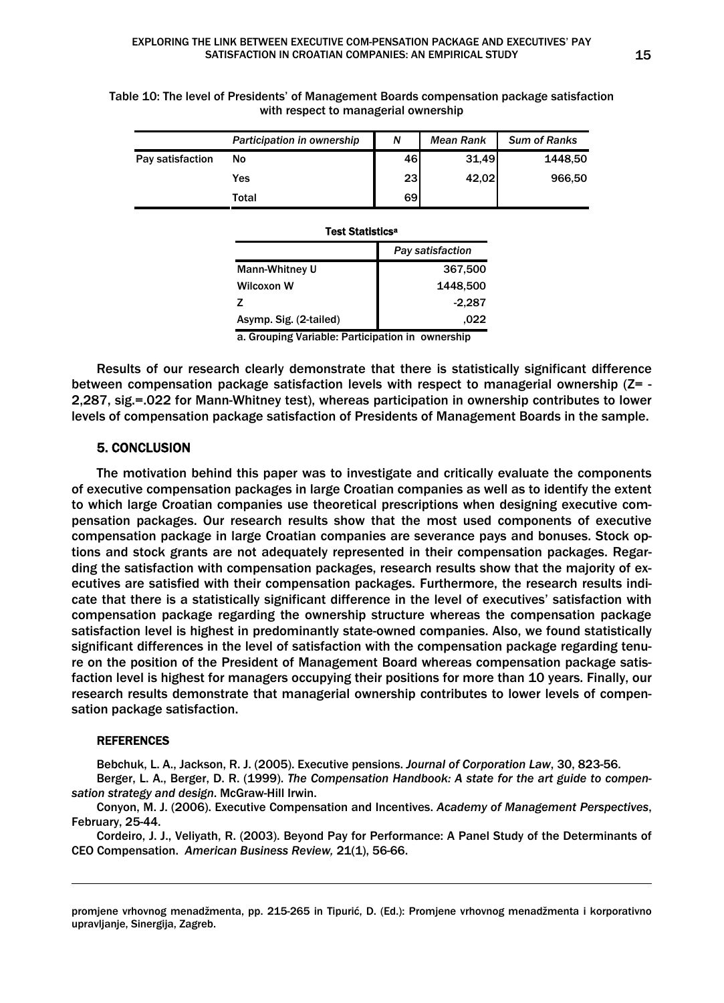|                  | Participation in ownership | N         | <b>Mean Rank</b> | <b>Sum of Ranks</b> |
|------------------|----------------------------|-----------|------------------|---------------------|
| Pay satisfaction | Νo                         | 46        | 31,49            | 1448.50             |
|                  | Yes                        | <b>23</b> | 42,02            | 966.50              |
|                  | Total                      | 69        |                  |                     |

Table 10: The level of Presidents' of Management Boards compensation package satisfaction with respect to managerial ownership

#### Test Statisticsa

|                        | Pay satisfaction |
|------------------------|------------------|
| Mann-Whitney U         | 367,500          |
| Wilcoxon W             | 1448,500         |
| 7                      | $-2,287$         |
| Asymp. Sig. (2-tailed) | .022             |

a. Grouping Variable: Participation in ownership

Results of our research clearly demonstrate that there is statistically significant difference between compensation package satisfaction levels with respect to managerial ownership  $(Z = -1)$ 2,287, sig.=.022 for Mann-Whitney test), whereas participation in ownership contributes to lower levels of compensation package satisfaction of Presidents of Management Boards in the sample.

### 5. CONCLUSION

The motivation behind this paper was to investigate and critically evaluate the components of executive compensation packages in large Croatian companies as well as to identify the extent to which large Croatian companies use theoretical prescriptions when designing executive compensation packages. Our research results show that the most used components of executive compensation package in large Croatian companies are severance pays and bonuses. Stock options and stock grants are not adequately represented in their compensation packages. Regarding the satisfaction with compensation packages, research results show that the majority of executives are satisfied with their compensation packages. Furthermore, the research results indicate that there is a statistically significant difference in the level of executives' satisfaction with compensation package regarding the ownership structure whereas the compensation package satisfaction level is highest in predominantly state-owned companies. Also, we found statistically significant differences in the level of satisfaction with the compensation package regarding tenure on the position of the President of Management Board whereas compensation package satisfaction level is highest for managers occupying their positions for more than 10 years. Finally, our research results demonstrate that managerial ownership contributes to lower levels of compensation package satisfaction.

### **REFERENCES**

1

Bebchuk, L. A., Jackson, R. J. (2005). Executive pensions. *Journal of Corporation Law*, 30, 823-56.

Berger, L. A., Berger, D. R. (1999). *The Compensation Handbook: A state for the art guide to compensation strategy and design*. McGraw-Hill Irwin.

Conyon, M. J. (2006). Executive Compensation and Incentives. *Academy of Management Perspectives*, February, 25-44.

Cordeiro, J. J., Veliyath, R. (2003). Beyond Pay for Performance: A Panel Study of the Determinants of CEO Compensation. *American Business Review,* 21(1), 56-66.

promjene vrhovnog menadžmenta, pp. 215-265 in Tipurić, D. (Ed.): Promjene vrhovnog menadžmenta i korporativno upravljanje, Sinergija, Zagreb.